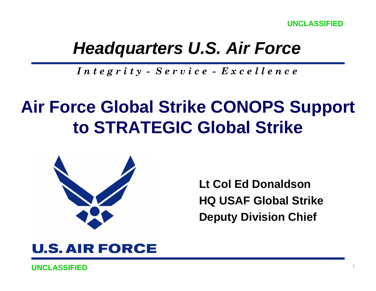**UNCLASSIFIED**

## *Headquarters U.S. Air Force*

*I n t e g r i t y - S e r v i c e - E x c e l l e n c e*

# **Air Force Global Strike CONOPS Support to STRATEGIC Global Strike**



**Lt Col Ed DonaldsonHQ USAF Global Strike Deputy Division Chief**

### **U.S. AIR FORCE**

**UNCLASSIFIED**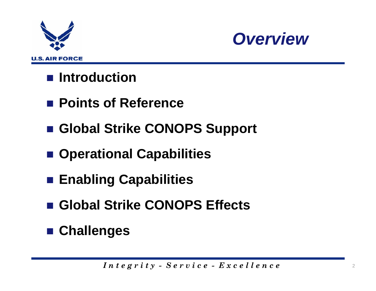



### ■ Introduction

- Points of Reference
- **Global Strike CONOPS Support**
- **Operational Capabilities**
- **Enabling Capabilities**
- **Global Strike CONOPS Effects**
- **Challenges**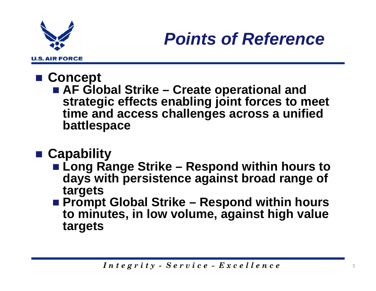

#### ■ Concept

■ AF Global Strike – Create operational and **strategic effects enabling joint forces to meet time and access challenges across a unified battlespace**

### **Capability**

- Long Range Strike Respond within hours to **days with persistence against broad range of targets**
- Prompt Global Strike Respond within hours **to minutes, in low volume, against high value targets**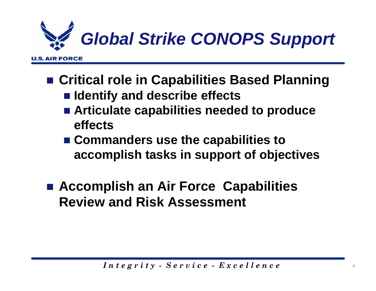

- **Critical role in Capabilities Based Planning**  $\blacksquare$  **Identify and describe effects** 
	- **Articulate capabilities needed to produce effects**
	- Commanders use the capabilities to **accomplish tasks in support of objectives**
- Accomplish an Air Force Capabilities **Review and Risk Assessment**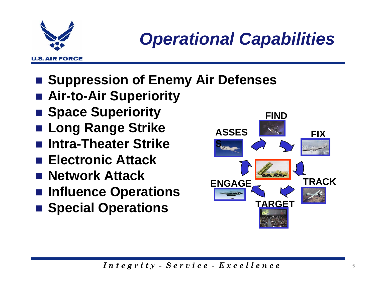

*Operational Capabilities*

- **Example Suppression of Enemy Air Defenses**
- **Air-to-Air Superiority**
- **E** Space Superiority
- in<br>Ma **Long Range Strike**
- **Intra-Theater Strike**
- Electronic Attack
- Network Attack
- **Influence Operations**
- **Example 3 Special Operations**

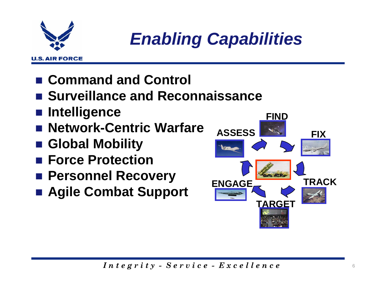

*Enabling Capabilities*

- **Command and Control**
- Surveillance and Reconnaissance
- **Intelligence**
- in<br>Ma **Network-Centric Warfare**
- **Global Mobility**
- Force Protection
- **Personnel Recovery**
- **Agile Combat Support**

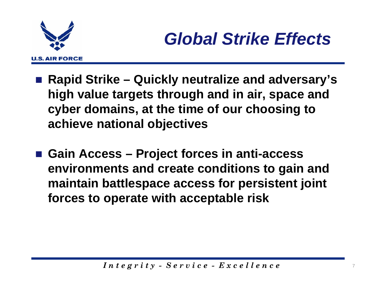

- **Rapid Strike – Quickly neutralize and adversary's high value targets through and in air, space and cyber domains, at the time of our choosing to achieve national objectives**
- Gain Access Project forces in anti-access **environments and create conditions to gain and maintain battlespace access for persistent joint forces to operate with acceptable risk**